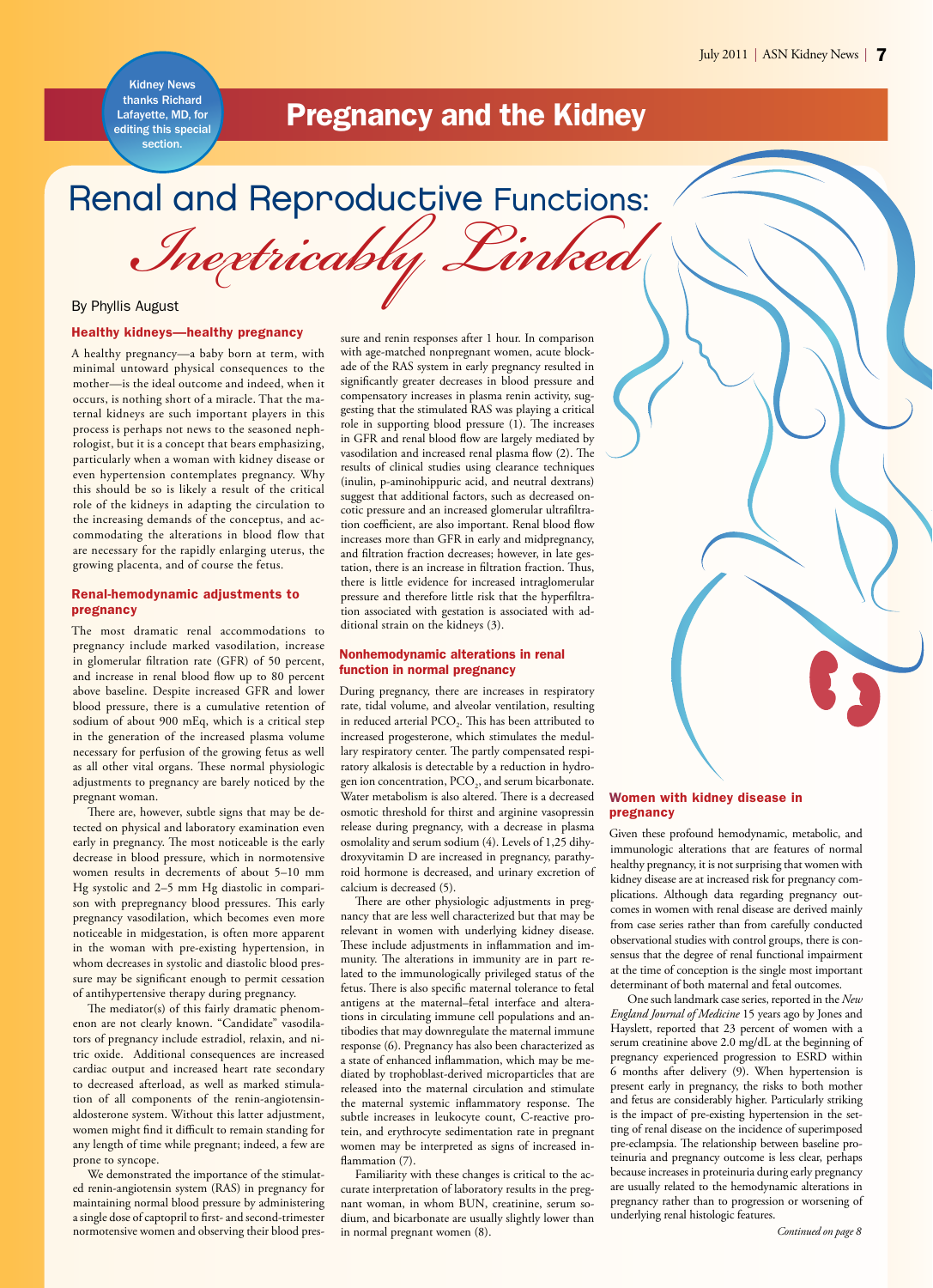Kidney News thanks Richard Lafayette, MD, for editing this special section.

# Pregnancy and the Kidney

Renal and Reproductive Functions:<br>Mextricably Linked *Inextricably Linked*

### By Phyllis August

### Healthy kidneys—healthy pregnancy

A healthy pregnancy—a baby born at term, with minimal untoward physical consequences to the mother—is the ideal outcome and indeed, when it occurs, is nothing short of a miracle. That the maternal kidneys are such important players in this process is perhaps not news to the seasoned nephrologist, but it is a concept that bears emphasizing, particularly when a woman with kidney disease or even hypertension contemplates pregnancy. Why this should be so is likely a result of the critical role of the kidneys in adapting the circulation to the increasing demands of the conceptus, and accommodating the alterations in blood flow that are necessary for the rapidly enlarging uterus, the growing placenta, and of course the fetus.

### Renal-hemodynamic adjustments to pregnancy

The most dramatic renal accommodations to pregnancy include marked vasodilation, increase in glomerular filtration rate (GFR) of 50 percent, and increase in renal blood flow up to 80 percent above baseline. Despite increased GFR and lower blood pressure, there is a cumulative retention of sodium of about 900 mEq, which is a critical step in the generation of the increased plasma volume necessary for perfusion of the growing fetus as well as all other vital organs. These normal physiologic adjustments to pregnancy are barely noticed by the pregnant woman.

There are, however, subtle signs that may be detected on physical and laboratory examination even early in pregnancy. The most noticeable is the early decrease in blood pressure, which in normotensive women results in decrements of about 5–10 mm Hg systolic and 2–5 mm Hg diastolic in comparison with prepregnancy blood pressures. This early pregnancy vasodilation, which becomes even more noticeable in midgestation, is often more apparent in the woman with pre-existing hypertension, in whom decreases in systolic and diastolic blood pressure may be significant enough to permit cessation of antihypertensive therapy during pregnancy.

The mediator(s) of this fairly dramatic phenomenon are not clearly known. "Candidate" vasodilators of pregnancy include estradiol, relaxin, and nitric oxide. Additional consequences are increased cardiac output and increased heart rate secondary to decreased afterload, as well as marked stimulation of all components of the renin-angiotensinaldosterone system. Without this latter adjustment, women might find it difficult to remain standing for any length of time while pregnant; indeed, a few are prone to syncope.

We demonstrated the importance of the stimulated renin-angiotensin system (RAS) in pregnancy for maintaining normal blood pressure by administering a single dose of captopril to first- and second-trimester normotensive women and observing their blood pres-

sure and renin responses after 1 hour. In comparison with age-matched nonpregnant women, acute blockade of the RAS system in early pregnancy resulted in significantly greater decreases in blood pressure and compensatory increases in plasma renin activity, suggesting that the stimulated RAS was playing a critical role in supporting blood pressure (1). The increases in GFR and renal blood flow are largely mediated by vasodilation and increased renal plasma flow (2). The results of clinical studies using clearance techniques (inulin, p-aminohippuric acid, and neutral dextrans) suggest that additional factors, such as decreased oncotic pressure and an increased glomerular ultrafiltration coefficient, are also important. Renal blood flow increases more than GFR in early and midpregnancy, and filtration fraction decreases; however, in late gestation, there is an increase in filtration fraction. Thus, there is little evidence for increased intraglomerular pressure and therefore little risk that the hyperfiltration associated with gestation is associated with additional strain on the kidneys (3).

### Nonhemodynamic alterations in renal function in normal pregnancy

During pregnancy, there are increases in respiratory rate, tidal volume, and alveolar ventilation, resulting in reduced arterial PCO<sub>2</sub>. This has been attributed to increased progesterone, which stimulates the medullary respiratory center. The partly compensated respiratory alkalosis is detectable by a reduction in hydrogen ion concentration,  $PCO<sub>2</sub>$ , and serum bicarbonate. Water metabolism is also altered. There is a decreased osmotic threshold for thirst and arginine vasopressin release during pregnancy, with a decrease in plasma osmolality and serum sodium (4). Levels of 1,25 dihydroxyvitamin D are increased in pregnancy, parathyroid hormone is decreased, and urinary excretion of calcium is decreased (5).

There are other physiologic adjustments in pregnancy that are less well characterized but that may be relevant in women with underlying kidney disease. These include adjustments in inflammation and immunity. The alterations in immunity are in part related to the immunologically privileged status of the fetus. There is also specific maternal tolerance to fetal antigens at the maternal–fetal interface and alterations in circulating immune cell populations and antibodies that may downregulate the maternal immune response (6). Pregnancy has also been characterized as a state of enhanced inflammation, which may be mediated by trophoblast-derived microparticles that are released into the maternal circulation and stimulate the maternal systemic inflammatory response. The subtle increases in leukocyte count, C-reactive protein, and erythrocyte sedimentation rate in pregnant women may be interpreted as signs of increased inflammation  $(7)$ .

Familiarity with these changes is critical to the accurate interpretation of laboratory results in the pregnant woman, in whom BUN, creatinine, serum sodium, and bicarbonate are usually slightly lower than in normal pregnant women (8).

### Women with kidney disease in pregnancy

Given these profound hemodynamic, metabolic, and immunologic alterations that are features of normal healthy pregnancy, it is not surprising that women with kidney disease are at increased risk for pregnancy complications. Although data regarding pregnancy outcomes in women with renal disease are derived mainly from case series rather than from carefully conducted observational studies with control groups, there is consensus that the degree of renal functional impairment at the time of conception is the single most important determinant of both maternal and fetal outcomes.

 One such landmark case series, reported in the *New England Journal of Medicine* 15 years ago by Jones and Hayslett, reported that 23 percent of women with a serum creatinine above 2.0 mg/dL at the beginning of pregnancy experienced progression to ESRD within 6 months after delivery (9). When hypertension is present early in pregnancy, the risks to both mother and fetus are considerably higher. Particularly striking is the impact of pre-existing hypertension in the setting of renal disease on the incidence of superimposed pre-eclampsia. The relationship between baseline proteinuria and pregnancy outcome is less clear, perhaps because increases in proteinuria during early pregnancy are usually related to the hemodynamic alterations in pregnancy rather than to progression or worsening of underlying renal histologic features.